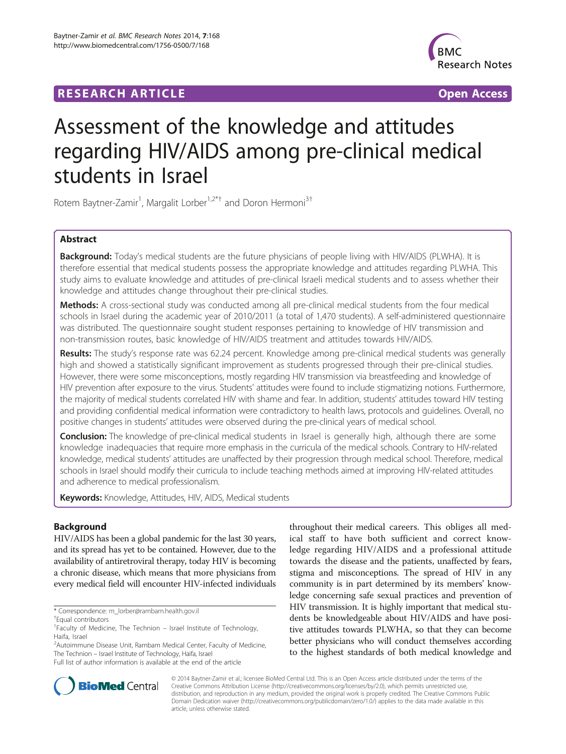## **RESEARCH ARTICLE Example 2018 12:00 Department 2018 12:00 Department 2018 12:00 Department 2018 12:00 Department 2018 12:00 Department 2018 12:00 Department 2018 12:00 Department 2018 12:00 Department 2018 12:00 Departm**



# Assessment of the knowledge and attitudes regarding HIV/AIDS among pre-clinical medical students in Israel

Rotem Baytner-Zamir<sup>1</sup>, Margalit Lorber<sup>1,2\*†</sup> and Doron Hermoni<sup>3†</sup>

## Abstract

Background: Today's medical students are the future physicians of people living with HIV/AIDS (PLWHA). It is therefore essential that medical students possess the appropriate knowledge and attitudes regarding PLWHA. This study aims to evaluate knowledge and attitudes of pre-clinical Israeli medical students and to assess whether their knowledge and attitudes change throughout their pre-clinical studies.

Methods: A cross-sectional study was conducted among all pre-clinical medical students from the four medical schools in Israel during the academic year of 2010/2011 (a total of 1,470 students). A self-administered questionnaire was distributed. The questionnaire sought student responses pertaining to knowledge of HIV transmission and non-transmission routes, basic knowledge of HIV/AIDS treatment and attitudes towards HIV/AIDS.

Results: The study's response rate was 62.24 percent. Knowledge among pre-clinical medical students was generally high and showed a statistically significant improvement as students progressed through their pre-clinical studies. However, there were some misconceptions, mostly regarding HIV transmission via breastfeeding and knowledge of HIV prevention after exposure to the virus. Students' attitudes were found to include stigmatizing notions. Furthermore, the majority of medical students correlated HIV with shame and fear. In addition, students' attitudes toward HIV testing and providing confidential medical information were contradictory to health laws, protocols and guidelines. Overall, no positive changes in students' attitudes were observed during the pre-clinical years of medical school.

**Conclusion:** The knowledge of pre-clinical medical students in Israel is generally high, although there are some knowledge inadequacies that require more emphasis in the curricula of the medical schools. Contrary to HIV-related knowledge, medical students' attitudes are unaffected by their progression through medical school. Therefore, medical schools in Israel should modify their curricula to include teaching methods aimed at improving HIV-related attitudes and adherence to medical professionalism.

Keywords: Knowledge, Attitudes, HIV, AIDS, Medical students

## Background

HIV/AIDS has been a global pandemic for the last 30 years, and its spread has yet to be contained. However, due to the availability of antiretroviral therapy, today HIV is becoming a chronic disease, which means that more physicians from every medical field will encounter HIV-infected individuals

<sup>2</sup> Autoimmune Disease Unit, Rambam Medical Center, Faculty of Medicine, The Technion – Israel Institute of Technology, Haifa, Israel

throughout their medical careers. This obliges all medical staff to have both sufficient and correct knowledge regarding HIV/AIDS and a professional attitude towards the disease and the patients, unaffected by fears, stigma and misconceptions. The spread of HIV in any community is in part determined by its members' knowledge concerning safe sexual practices and prevention of HIV transmission. It is highly important that medical students be knowledgeable about HIV/AIDS and have positive attitudes towards PLWHA, so that they can become better physicians who will conduct themselves according to the highest standards of both medical knowledge and



© 2014 Baytner-Zamir et al.; licensee BioMed Central Ltd. This is an Open Access article distributed under the terms of the Creative Commons Attribution License (<http://creativecommons.org/licenses/by/2.0>), which permits unrestricted use, distribution, and reproduction in any medium, provided the original work is properly credited. The Creative Commons Public Domain Dedication waiver [\(http://creativecommons.org/publicdomain/zero/1.0/\)](http://creativecommons.org/publicdomain/zero/1.0/) applies to the data made available in this article, unless otherwise stated.

<sup>\*</sup> Correspondence: [m\\_lorber@rambam.health.gov.il](mailto:m_lorber@rambam.health.gov.il) †

Equal contributors

<sup>&</sup>lt;sup>1</sup>Faculty of Medicine, The Technion - Israel Institute of Technology, Haifa, Israel

Full list of author information is available at the end of the article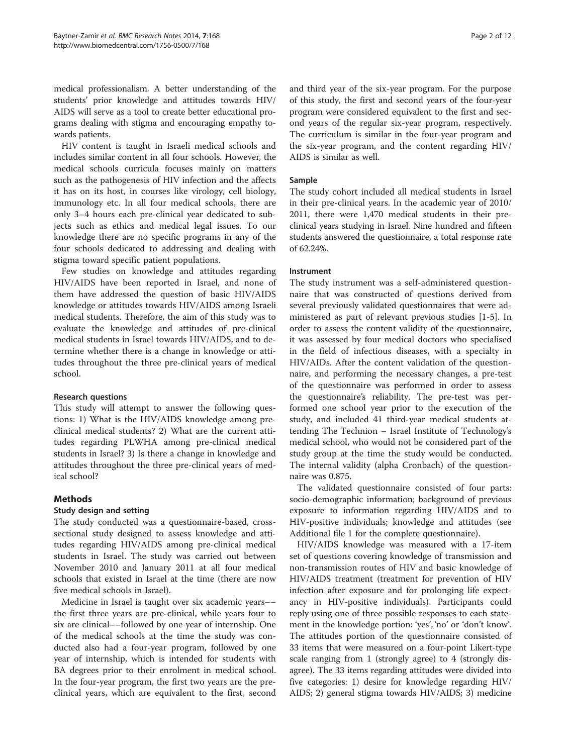medical professionalism. A better understanding of the students' prior knowledge and attitudes towards HIV/ AIDS will serve as a tool to create better educational programs dealing with stigma and encouraging empathy towards patients.

HIV content is taught in Israeli medical schools and includes similar content in all four schools. However, the medical schools curricula focuses mainly on matters such as the pathogenesis of HIV infection and the affects it has on its host, in courses like virology, cell biology, immunology etc. In all four medical schools, there are only 3–4 hours each pre-clinical year dedicated to subjects such as ethics and medical legal issues. To our knowledge there are no specific programs in any of the four schools dedicated to addressing and dealing with stigma toward specific patient populations.

Few studies on knowledge and attitudes regarding HIV/AIDS have been reported in Israel, and none of them have addressed the question of basic HIV/AIDS knowledge or attitudes towards HIV/AIDS among Israeli medical students. Therefore, the aim of this study was to evaluate the knowledge and attitudes of pre-clinical medical students in Israel towards HIV/AIDS, and to determine whether there is a change in knowledge or attitudes throughout the three pre-clinical years of medical school.

### Research questions

This study will attempt to answer the following questions: 1) What is the HIV/AIDS knowledge among preclinical medical students? 2) What are the current attitudes regarding PLWHA among pre-clinical medical students in Israel? 3) Is there a change in knowledge and attitudes throughout the three pre-clinical years of medical school?

### Methods

### Study design and setting

The study conducted was a questionnaire-based, crosssectional study designed to assess knowledge and attitudes regarding HIV/AIDS among pre-clinical medical students in Israel. The study was carried out between November 2010 and January 2011 at all four medical schools that existed in Israel at the time (there are now five medical schools in Israel).

Medicine in Israel is taught over six academic years–– the first three years are pre-clinical, while years four to six are clinical––followed by one year of internship. One of the medical schools at the time the study was conducted also had a four-year program, followed by one year of internship, which is intended for students with BA degrees prior to their enrolment in medical school. In the four-year program, the first two years are the preclinical years, which are equivalent to the first, second and third year of the six-year program. For the purpose of this study, the first and second years of the four-year program were considered equivalent to the first and second years of the regular six-year program, respectively. The curriculum is similar in the four-year program and the six-year program, and the content regarding HIV/ AIDS is similar as well.

#### Sample

The study cohort included all medical students in Israel in their pre-clinical years. In the academic year of 2010/ 2011, there were 1,470 medical students in their preclinical years studying in Israel. Nine hundred and fifteen students answered the questionnaire, a total response rate of 62.24%.

#### Instrument

The study instrument was a self-administered questionnaire that was constructed of questions derived from several previously validated questionnaires that were administered as part of relevant previous studies [\[1](#page-11-0)-[5\]](#page-11-0). In order to assess the content validity of the questionnaire, it was assessed by four medical doctors who specialised in the field of infectious diseases, with a specialty in HIV/AIDs. After the content validation of the questionnaire, and performing the necessary changes, a pre-test of the questionnaire was performed in order to assess the questionnaire's reliability. The pre-test was performed one school year prior to the execution of the study, and included 41 third-year medical students attending The Technion – Israel Institute of Technology's medical school, who would not be considered part of the study group at the time the study would be conducted. The internal validity (alpha Cronbach) of the questionnaire was 0.875.

The validated questionnaire consisted of four parts: socio-demographic information; background of previous exposure to information regarding HIV/AIDS and to HIV-positive individuals; knowledge and attitudes (see Additional file [1](#page-10-0) for the complete questionnaire).

HIV/AIDS knowledge was measured with a 17-item set of questions covering knowledge of transmission and non-transmission routes of HIV and basic knowledge of HIV/AIDS treatment (treatment for prevention of HIV infection after exposure and for prolonging life expectancy in HIV-positive individuals). Participants could reply using one of three possible responses to each statement in the knowledge portion: 'yes', 'no' or 'don't know'. The attitudes portion of the questionnaire consisted of 33 items that were measured on a four-point Likert-type scale ranging from 1 (strongly agree) to 4 (strongly disagree). The 33 items regarding attitudes were divided into five categories: 1) desire for knowledge regarding HIV/ AIDS; 2) general stigma towards HIV/AIDS; 3) medicine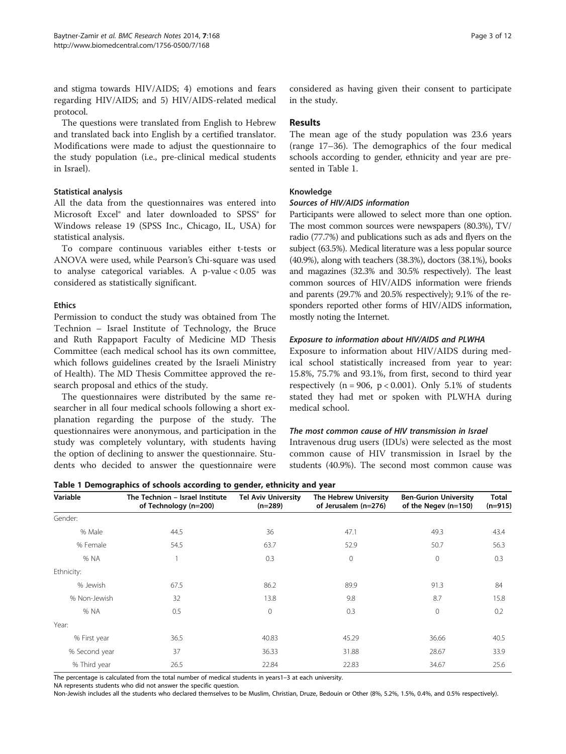and stigma towards HIV/AIDS; 4) emotions and fears regarding HIV/AIDS; and 5) HIV/AIDS-related medical protocol.

The questions were translated from English to Hebrew and translated back into English by a certified translator. Modifications were made to adjust the questionnaire to the study population (i.e., pre-clinical medical students in Israel).

#### Statistical analysis

All the data from the questionnaires was entered into Microsoft Excel® and later downloaded to SPSS® for Windows release 19 (SPSS Inc., Chicago, IL, USA) for statistical analysis.

To compare continuous variables either t-tests or ANOVA were used, while Pearson's Chi-square was used to analyse categorical variables. A p-value < 0.05 was considered as statistically significant.

### Ethics

Permission to conduct the study was obtained from The Technion – Israel Institute of Technology, the Bruce and Ruth Rappaport Faculty of Medicine MD Thesis Committee (each medical school has its own committee, which follows guidelines created by the Israeli Ministry of Health). The MD Thesis Committee approved the research proposal and ethics of the study.

The questionnaires were distributed by the same researcher in all four medical schools following a short explanation regarding the purpose of the study. The questionnaires were anonymous, and participation in the study was completely voluntary, with students having the option of declining to answer the questionnaire. Students who decided to answer the questionnaire were

considered as having given their consent to participate in the study.

#### Results

The mean age of the study population was 23.6 years (range 17–36). The demographics of the four medical schools according to gender, ethnicity and year are presented in Table 1.

## Knowledge

#### Sources of HIV/AIDS information

Participants were allowed to select more than one option. The most common sources were newspapers (80.3%), TV/ radio (77.7%) and publications such as ads and flyers on the subject (63.5%). Medical literature was a less popular source (40.9%), along with teachers (38.3%), doctors (38.1%), books and magazines (32.3% and 30.5% respectively). The least common sources of HIV/AIDS information were friends and parents (29.7% and 20.5% respectively); 9.1% of the responders reported other forms of HIV/AIDS information, mostly noting the Internet.

#### Exposure to information about HIV/AIDS and PLWHA

Exposure to information about HIV/AIDS during medical school statistically increased from year to year: 15.8%, 75.7% and 93.1%, from first, second to third year respectively ( $n = 906$ ,  $p < 0.001$ ). Only 5.1% of students stated they had met or spoken with PLWHA during medical school.

#### The most common cause of HIV transmission in Israel

Intravenous drug users (IDUs) were selected as the most common cause of HIV transmission in Israel by the students (40.9%). The second most common cause was

| Variable      | The Technion - Israel Institute<br>of Technology (n=200) | <b>Tel Aviv University</b><br>$(n=289)$ | The Hebrew University<br>of Jerusalem (n=276) | <b>Ben-Gurion University</b><br>of the Negev (n=150) | Total<br>$(n=915)$ |
|---------------|----------------------------------------------------------|-----------------------------------------|-----------------------------------------------|------------------------------------------------------|--------------------|
| Gender:       |                                                          |                                         |                                               |                                                      |                    |
| % Male        | 44.5                                                     | 36                                      | 47.1                                          | 49.3                                                 | 43.4               |
| % Female      | 54.5                                                     | 63.7                                    | 52.9                                          | 50.7                                                 | 56.3               |
| % NA          |                                                          | 0.3                                     | $\mathbf 0$                                   | $\mathbf{0}$                                         | 0.3                |
| Ethnicity:    |                                                          |                                         |                                               |                                                      |                    |
| % Jewish      | 67.5                                                     | 86.2                                    | 89.9                                          | 91.3                                                 | 84                 |
| % Non-Jewish  | 32                                                       | 13.8                                    | 9.8                                           | 8.7                                                  | 15.8               |
| % NA          | 0.5                                                      | $\mathbf{0}$                            | 0.3                                           | $\mathbf{0}$                                         | 0.2                |
| Year:         |                                                          |                                         |                                               |                                                      |                    |
| % First year  | 36.5                                                     | 40.83                                   | 45.29                                         | 36.66                                                | 40.5               |
| % Second year | 37                                                       | 36.33                                   | 31.88                                         | 28.67                                                | 33.9               |
| % Third year  | 26.5                                                     | 22.84                                   | 22.83                                         | 34.67                                                | 25.6               |

The percentage is calculated from the total number of medical students in years1–3 at each university.

NA represents students who did not answer the specific question.

Non-Jewish includes all the students who declared themselves to be Muslim, Christian, Druze, Bedouin or Other (8%, 5.2%, 1.5%, 0.4%, and 0.5% respectively).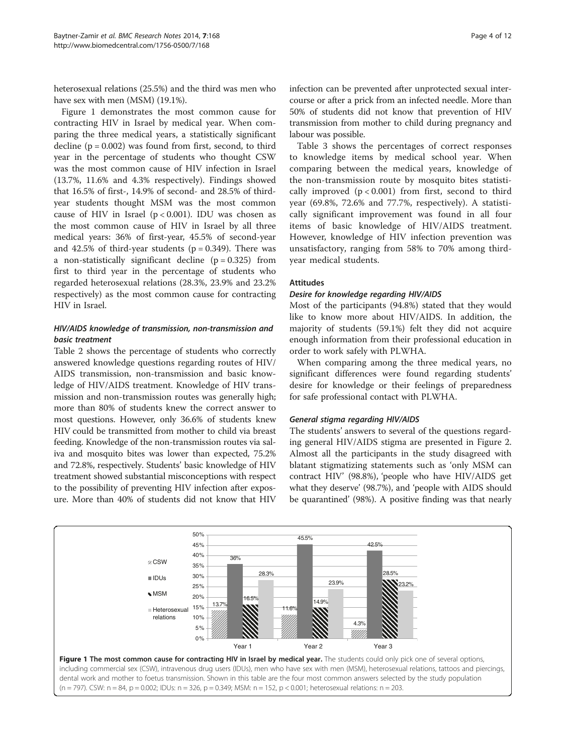heterosexual relations (25.5%) and the third was men who have sex with men (MSM) (19.1%).

Figure 1 demonstrates the most common cause for contracting HIV in Israel by medical year. When comparing the three medical years, a statistically significant decline  $(p = 0.002)$  was found from first, second, to third year in the percentage of students who thought CSW was the most common cause of HIV infection in Israel (13.7%, 11.6% and 4.3% respectively). Findings showed that 16.5% of first-, 14.9% of second- and 28.5% of thirdyear students thought MSM was the most common cause of HIV in Israel  $(p < 0.001)$ . IDU was chosen as the most common cause of HIV in Israel by all three medical years: 36% of first-year, 45.5% of second-year and 42.5% of third-year students ( $p = 0.349$ ). There was a non-statistically significant decline  $(p = 0.325)$  from first to third year in the percentage of students who regarded heterosexual relations (28.3%, 23.9% and 23.2% respectively) as the most common cause for contracting HIV in Israel.

## HIV/AIDS knowledge of transmission, non-transmission and basic treatment

Table [2](#page-4-0) shows the percentage of students who correctly answered knowledge questions regarding routes of HIV/ AIDS transmission, non-transmission and basic knowledge of HIV/AIDS treatment. Knowledge of HIV transmission and non-transmission routes was generally high; more than 80% of students knew the correct answer to most questions. However, only 36.6% of students knew HIV could be transmitted from mother to child via breast feeding. Knowledge of the non-transmission routes via saliva and mosquito bites was lower than expected, 75.2% and 72.8%, respectively. Students' basic knowledge of HIV treatment showed substantial misconceptions with respect to the possibility of preventing HIV infection after exposure. More than 40% of students did not know that HIV infection can be prevented after unprotected sexual intercourse or after a prick from an infected needle. More than 50% of students did not know that prevention of HIV transmission from mother to child during pregnancy and labour was possible.

Table [3](#page-5-0) shows the percentages of correct responses to knowledge items by medical school year. When comparing between the medical years, knowledge of the non-transmission route by mosquito bites statistically improved  $(p < 0.001)$  from first, second to third year (69.8%, 72.6% and 77.7%, respectively). A statistically significant improvement was found in all four items of basic knowledge of HIV/AIDS treatment. However, knowledge of HIV infection prevention was unsatisfactory, ranging from 58% to 70% among thirdyear medical students.

#### Attitudes

#### Desire for knowledge regarding HIV/AIDS

Most of the participants (94.8%) stated that they would like to know more about HIV/AIDS. In addition, the majority of students (59.1%) felt they did not acquire enough information from their professional education in order to work safely with PLWHA.

When comparing among the three medical years, no significant differences were found regarding students' desire for knowledge or their feelings of preparedness for safe professional contact with PLWHA.

### General stigma regarding HIV/AIDS

The students' answers to several of the questions regarding general HIV/AIDS stigma are presented in Figure [2](#page-5-0). Almost all the participants in the study disagreed with blatant stigmatizing statements such as 'only MSM can contract HIV' (98.8%), 'people who have HIV/AIDS get what they deserve' (98.7%), and 'people with AIDS should be quarantined' (98%). A positive finding was that nearly

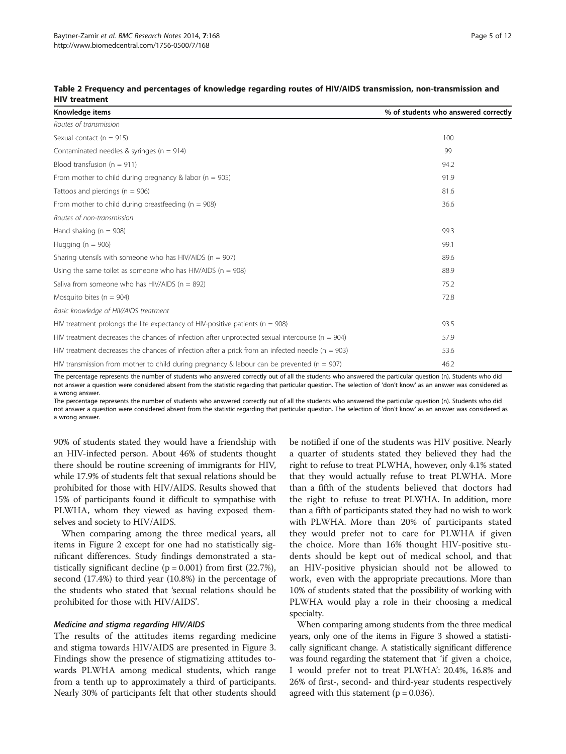| Knowledge items                                                                                      | % of students who answered correctly |  |  |
|------------------------------------------------------------------------------------------------------|--------------------------------------|--|--|
| Routes of transmission                                                                               |                                      |  |  |
| Sexual contact ( $n = 915$ )                                                                         | 100                                  |  |  |
| Contaminated needles & syringes ( $n = 914$ )                                                        | 99                                   |  |  |
| Blood transfusion ( $n = 911$ )                                                                      | 94.2                                 |  |  |
| From mother to child during pregnancy & labor ( $n = 905$ )                                          | 91.9                                 |  |  |
| Tattoos and piercings ( $n = 906$ )                                                                  | 81.6                                 |  |  |
| From mother to child during breastfeeding ( $n = 908$ )                                              | 36.6                                 |  |  |
| Routes of non-transmission                                                                           |                                      |  |  |
| Hand shaking ( $n = 908$ )                                                                           | 99.3                                 |  |  |
| Hugging ( $n = 906$ )                                                                                | 99.1                                 |  |  |
| Sharing utensils with someone who has HIV/AIDS ( $n = 907$ )                                         | 89.6                                 |  |  |
| Using the same toilet as someone who has HIV/AIDS ( $n = 908$ )                                      | 88.9                                 |  |  |
| Saliva from someone who has HIV/AIDS ( $n = 892$ )                                                   | 75.2                                 |  |  |
| Mosquito bites ( $n = 904$ )                                                                         | 72.8                                 |  |  |
| Basic knowledge of HIV/AIDS treatment                                                                |                                      |  |  |
| HIV treatment prolongs the life expectancy of HIV-positive patients ( $n = 908$ )                    | 93.5                                 |  |  |
| HIV treatment decreases the chances of infection after unprotected sexual intercourse ( $n = 904$ )  | 57.9                                 |  |  |
| HIV treatment decreases the chances of infection after a prick from an infected needle ( $n = 903$ ) | 53.6                                 |  |  |
| HIV transmission from mother to child during pregnancy & labour can be prevented ( $n = 907$ )       | 46.2                                 |  |  |

<span id="page-4-0"></span>

|                      |  | Table 2 Frequency and percentages of knowledge regarding routes of HIV/AIDS transmission, non-transmission and |  |
|----------------------|--|----------------------------------------------------------------------------------------------------------------|--|
| <b>HIV treatment</b> |  |                                                                                                                |  |

The percentage represents the number of students who answered correctly out of all the students who answered the particular question (n). Students who did not answer a question were considered absent from the statistic regarding that particular question. The selection of 'don't know' as an answer was considered as a wrong answer.

The percentage represents the number of students who answered correctly out of all the students who answered the particular question (n). Students who did not answer a question were considered absent from the statistic regarding that particular question. The selection of 'don't know' as an answer was considered as a wrong answer.

90% of students stated they would have a friendship with an HIV-infected person. About 46% of students thought there should be routine screening of immigrants for HIV, while 17.9% of students felt that sexual relations should be prohibited for those with HIV/AIDS. Results showed that 15% of participants found it difficult to sympathise with PLWHA, whom they viewed as having exposed themselves and society to HIV/AIDS.

When comparing among the three medical years, all items in Figure [2](#page-5-0) except for one had no statistically significant differences. Study findings demonstrated a statistically significant decline  $(p = 0.001)$  from first  $(22.7\%)$ , second (17.4%) to third year (10.8%) in the percentage of the students who stated that 'sexual relations should be prohibited for those with HIV/AIDS'.

#### Medicine and stigma regarding HIV/AIDS

The results of the attitudes items regarding medicine and stigma towards HIV/AIDS are presented in Figure [3](#page-6-0). Findings show the presence of stigmatizing attitudes towards PLWHA among medical students, which range from a tenth up to approximately a third of participants. Nearly 30% of participants felt that other students should

be notified if one of the students was HIV positive. Nearly a quarter of students stated they believed they had the right to refuse to treat PLWHA, however, only 4.1% stated that they would actually refuse to treat PLWHA. More than a fifth of the students believed that doctors had the right to refuse to treat PLWHA. In addition, more than a fifth of participants stated they had no wish to work with PLWHA. More than 20% of participants stated they would prefer not to care for PLWHA if given the choice. More than 16% thought HIV-positive students should be kept out of medical school, and that an HIV-positive physician should not be allowed to work, even with the appropriate precautions. More than 10% of students stated that the possibility of working with PLWHA would play a role in their choosing a medical specialty.

When comparing among students from the three medical years, only one of the items in Figure [3](#page-6-0) showed a statistically significant change. A statistically significant difference was found regarding the statement that 'if given a choice, I would prefer not to treat PLWHA': 20.4%, 16.8% and 26% of first-, second- and third-year students respectively agreed with this statement ( $p = 0.036$ ).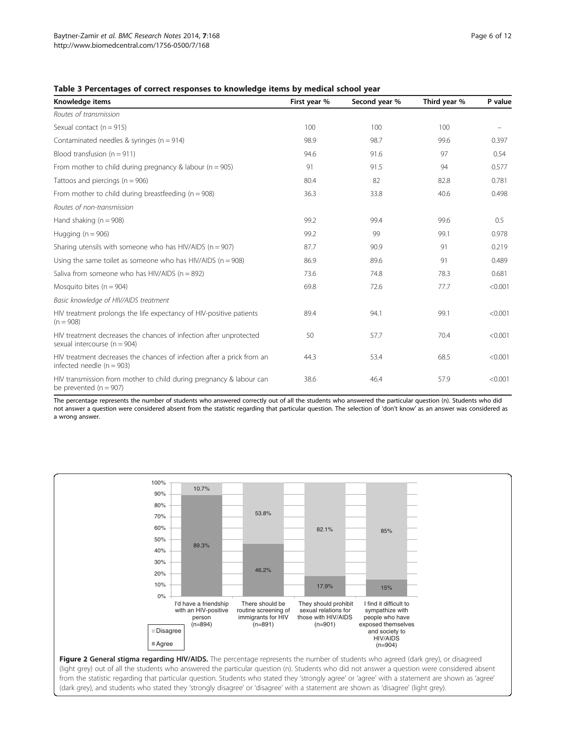| Knowledge items                                                                                        | First year % | Second year % | Third year % | P value |
|--------------------------------------------------------------------------------------------------------|--------------|---------------|--------------|---------|
| Routes of transmission                                                                                 |              |               |              |         |
| Sexual contact ( $n = 915$ )                                                                           | 100          | 100           | 100          |         |
| Contaminated needles & syringes ( $n = 914$ )                                                          | 98.9         | 98.7          | 99.6         | 0.397   |
| Blood transfusion $(n = 911)$                                                                          | 94.6         | 91.6          | 97           | 0.54    |
| From mother to child during pregnancy & labour ( $n = 905$ )                                           | 91           | 91.5          | 94           | 0.577   |
| Tattoos and piercings ( $n = 906$ )                                                                    | 80.4         | 82            | 82.8         | 0.781   |
| From mother to child during breastfeeding ( $n = 908$ )                                                | 36.3         | 33.8          | 40.6         | 0.498   |
| Routes of non-transmission                                                                             |              |               |              |         |
| Hand shaking ( $n = 908$ )                                                                             | 99.2         | 99.4          | 99.6         | 0.5     |
| Hugging ( $n = 906$ )                                                                                  | 99.2         | 99            | 99.1         | 0.978   |
| Sharing utensils with someone who has HIV/AIDS ( $n = 907$ )                                           | 87.7         | 90.9          | 91           | 0.219   |
| Using the same toilet as someone who has HIV/AIDS ( $n = 908$ )                                        | 86.9         | 89.6          | 91           | 0.489   |
| Saliva from someone who has HIV/AIDS ( $n = 892$ )                                                     | 73.6         | 74.8          | 78.3         | 0.681   |
| Mosquito bites ( $n = 904$ )                                                                           | 69.8         | 72.6          | 77.7         | < 0.001 |
| Basic knowledge of HIV/AIDS treatment                                                                  |              |               |              |         |
| HIV treatment prolongs the life expectancy of HIV-positive patients<br>$(n = 908)$                     | 89.4         | 94.1          | 99.1         | < 0.001 |
| HIV treatment decreases the chances of infection after unprotected<br>sexual intercourse ( $n = 904$ ) | 50           | 57.7          | 70.4         | < 0.001 |
| HIV treatment decreases the chances of infection after a prick from an<br>infected needle $(n = 903)$  | 44.3         | 53.4          | 68.5         | < 0.001 |
| HIV transmission from mother to child during pregnancy & labour can<br>be prevented $(n = 907)$        | 38.6         | 46.4          | 57.9         | < 0.001 |

#### <span id="page-5-0"></span>Table 3 Percentages of correct responses to knowledge items by medical school year

The percentage represents the number of students who answered correctly out of all the students who answered the particular question (n). Students who did not answer a question were considered absent from the statistic regarding that particular question. The selection of 'don't know' as an answer was considered as a wrong answer.



(light grey) out of all the students who answered the particular question (n). Students who did not answer a question were considered absent from the statistic regarding that particular question. Students who stated they 'strongly agree' or 'agree' with a statement are shown as 'agree' (dark grey), and students who stated they 'strongly disagree' or 'disagree' with a statement are shown as 'disagree' (light grey).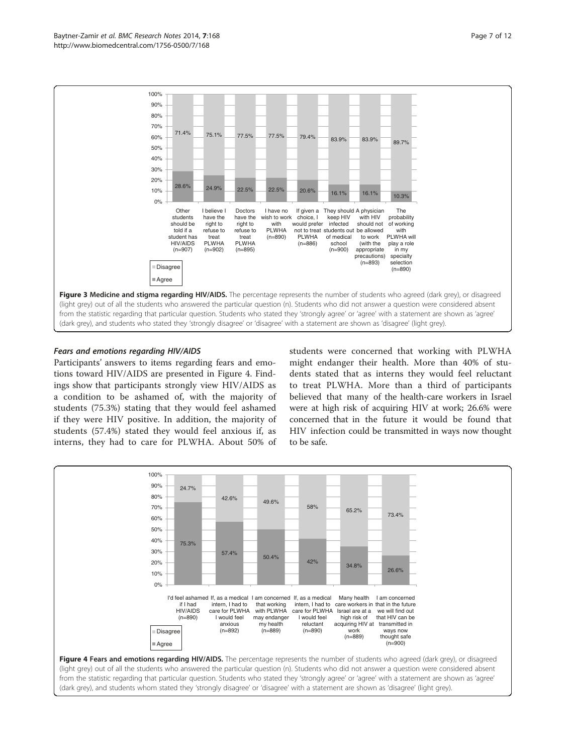<span id="page-6-0"></span>

### Fears and emotions regarding HIV/AIDS

Participants' answers to items regarding fears and emotions toward HIV/AIDS are presented in Figure 4. Findings show that participants strongly view HIV/AIDS as a condition to be ashamed of, with the majority of students (75.3%) stating that they would feel ashamed if they were HIV positive. In addition, the majority of students (57.4%) stated they would feel anxious if, as interns, they had to care for PLWHA. About 50% of students were concerned that working with PLWHA might endanger their health. More than 40% of students stated that as interns they would feel reluctant to treat PLWHA. More than a third of participants believed that many of the health-care workers in Israel were at high risk of acquiring HIV at work; 26.6% were concerned that in the future it would be found that HIV infection could be transmitted in ways now thought to be safe.

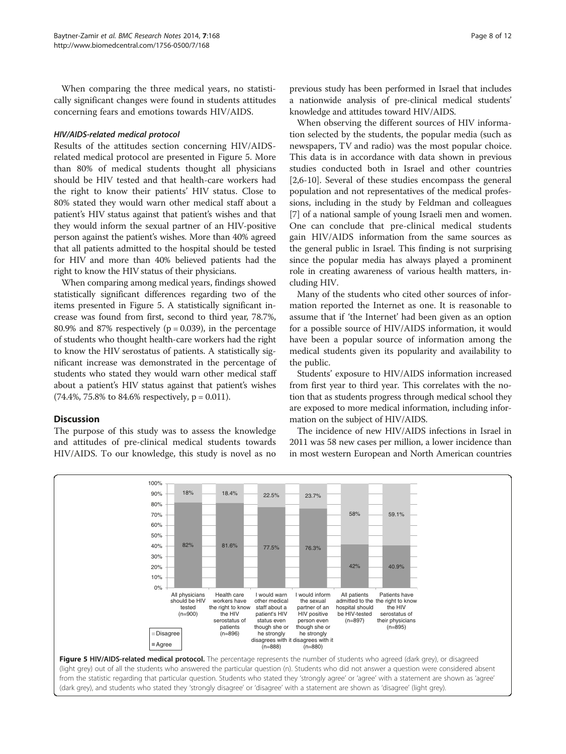When comparing the three medical years, no statistically significant changes were found in students attitudes concerning fears and emotions towards HIV/AIDS.

#### HIV/AIDS-related medical protocol

Results of the attitudes section concerning HIV/AIDSrelated medical protocol are presented in Figure 5. More than 80% of medical students thought all physicians should be HIV tested and that health-care workers had the right to know their patients' HIV status. Close to 80% stated they would warn other medical staff about a patient's HIV status against that patient's wishes and that they would inform the sexual partner of an HIV-positive person against the patient's wishes. More than 40% agreed that all patients admitted to the hospital should be tested for HIV and more than 40% believed patients had the right to know the HIV status of their physicians.

When comparing among medical years, findings showed statistically significant differences regarding two of the items presented in Figure 5. A statistically significant increase was found from first, second to third year, 78.7%, 80.9% and 87% respectively ( $p = 0.039$ ), in the percentage of students who thought health-care workers had the right to know the HIV serostatus of patients. A statistically significant increase was demonstrated in the percentage of students who stated they would warn other medical staff about a patient's HIV status against that patient's wishes  $(74.4\%, 75.8\% \text{ to } 84.6\% \text{ respectively, p} = 0.011).$ 

### **Discussion**

The purpose of this study was to assess the knowledge and attitudes of pre-clinical medical students towards HIV/AIDS. To our knowledge, this study is novel as no previous study has been performed in Israel that includes a nationwide analysis of pre-clinical medical students' knowledge and attitudes toward HIV/AIDS.

When observing the different sources of HIV information selected by the students, the popular media (such as newspapers, TV and radio) was the most popular choice. This data is in accordance with data shown in previous studies conducted both in Israel and other countries [[2,6-10](#page-11-0)]. Several of these studies encompass the general population and not representatives of the medical professions, including in the study by Feldman and colleagues [[7\]](#page-11-0) of a national sample of young Israeli men and women. One can conclude that pre-clinical medical students gain HIV/AIDS information from the same sources as the general public in Israel. This finding is not surprising since the popular media has always played a prominent role in creating awareness of various health matters, including HIV.

Many of the students who cited other sources of information reported the Internet as one. It is reasonable to assume that if 'the Internet' had been given as an option for a possible source of HIV/AIDS information, it would have been a popular source of information among the medical students given its popularity and availability to the public.

Students' exposure to HIV/AIDS information increased from first year to third year. This correlates with the notion that as students progress through medical school they are exposed to more medical information, including information on the subject of HIV/AIDS.

The incidence of new HIV/AIDS infections in Israel in 2011 was 58 new cases per million, a lower incidence than in most western European and North American countries

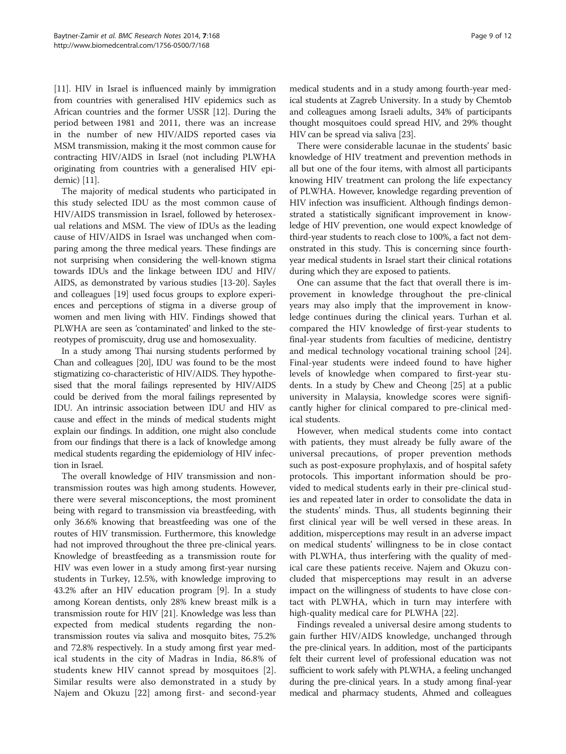[[11](#page-11-0)]. HIV in Israel is influenced mainly by immigration from countries with generalised HIV epidemics such as African countries and the former USSR [\[12\]](#page-11-0). During the period between 1981 and 2011, there was an increase in the number of new HIV/AIDS reported cases via MSM transmission, making it the most common cause for contracting HIV/AIDS in Israel (not including PLWHA originating from countries with a generalised HIV epidemic) [[11](#page-11-0)].

The majority of medical students who participated in this study selected IDU as the most common cause of HIV/AIDS transmission in Israel, followed by heterosexual relations and MSM. The view of IDUs as the leading cause of HIV/AIDS in Israel was unchanged when comparing among the three medical years. These findings are not surprising when considering the well-known stigma towards IDUs and the linkage between IDU and HIV/ AIDS, as demonstrated by various studies [[13-20\]](#page-11-0). Sayles and colleagues [[19](#page-11-0)] used focus groups to explore experiences and perceptions of stigma in a diverse group of women and men living with HIV. Findings showed that PLWHA are seen as 'contaminated' and linked to the stereotypes of promiscuity, drug use and homosexuality.

In a study among Thai nursing students performed by Chan and colleagues [\[20\]](#page-11-0), IDU was found to be the most stigmatizing co-characteristic of HIV/AIDS. They hypothesised that the moral failings represented by HIV/AIDS could be derived from the moral failings represented by IDU. An intrinsic association between IDU and HIV as cause and effect in the minds of medical students might explain our findings. In addition, one might also conclude from our findings that there is a lack of knowledge among medical students regarding the epidemiology of HIV infection in Israel.

The overall knowledge of HIV transmission and nontransmission routes was high among students. However, there were several misconceptions, the most prominent being with regard to transmission via breastfeeding, with only 36.6% knowing that breastfeeding was one of the routes of HIV transmission. Furthermore, this knowledge had not improved throughout the three pre-clinical years. Knowledge of breastfeeding as a transmission route for HIV was even lower in a study among first-year nursing students in Turkey, 12.5%, with knowledge improving to 43.2% after an HIV education program [\[9](#page-11-0)]. In a study among Korean dentists, only 28% knew breast milk is a transmission route for HIV [\[21](#page-11-0)]. Knowledge was less than expected from medical students regarding the nontransmission routes via saliva and mosquito bites, 75.2% and 72.8% respectively. In a study among first year medical students in the city of Madras in India, 86.8% of students knew HIV cannot spread by mosquitoes [\[2](#page-11-0)]. Similar results were also demonstrated in a study by Najem and Okuzu [[22\]](#page-11-0) among first- and second-year

medical students and in a study among fourth-year medical students at Zagreb University. In a study by Chemtob and colleagues among Israeli adults, 34% of participants thought mosquitoes could spread HIV, and 29% thought HIV can be spread via saliva [[23](#page-11-0)].

There were considerable lacunae in the students' basic knowledge of HIV treatment and prevention methods in all but one of the four items, with almost all participants knowing HIV treatment can prolong the life expectancy of PLWHA. However, knowledge regarding prevention of HIV infection was insufficient. Although findings demonstrated a statistically significant improvement in knowledge of HIV prevention, one would expect knowledge of third-year students to reach close to 100%, a fact not demonstrated in this study. This is concerning since fourthyear medical students in Israel start their clinical rotations during which they are exposed to patients.

One can assume that the fact that overall there is improvement in knowledge throughout the pre-clinical years may also imply that the improvement in knowledge continues during the clinical years. Turhan et al. compared the HIV knowledge of first-year students to final-year students from faculties of medicine, dentistry and medical technology vocational training school [\[24](#page-11-0)]. Final-year students were indeed found to have higher levels of knowledge when compared to first-year students. In a study by Chew and Cheong [\[25\]](#page-11-0) at a public university in Malaysia, knowledge scores were significantly higher for clinical compared to pre-clinical medical students.

However, when medical students come into contact with patients, they must already be fully aware of the universal precautions, of proper prevention methods such as post-exposure prophylaxis, and of hospital safety protocols. This important information should be provided to medical students early in their pre-clinical studies and repeated later in order to consolidate the data in the students' minds. Thus, all students beginning their first clinical year will be well versed in these areas. In addition, misperceptions may result in an adverse impact on medical students' willingness to be in close contact with PLWHA, thus interfering with the quality of medical care these patients receive. Najem and Okuzu concluded that misperceptions may result in an adverse impact on the willingness of students to have close contact with PLWHA, which in turn may interfere with high-quality medical care for PLWHA [[22](#page-11-0)].

Findings revealed a universal desire among students to gain further HIV/AIDS knowledge, unchanged through the pre-clinical years. In addition, most of the participants felt their current level of professional education was not sufficient to work safely with PLWHA, a feeling unchanged during the pre-clinical years. In a study among final-year medical and pharmacy students, Ahmed and colleagues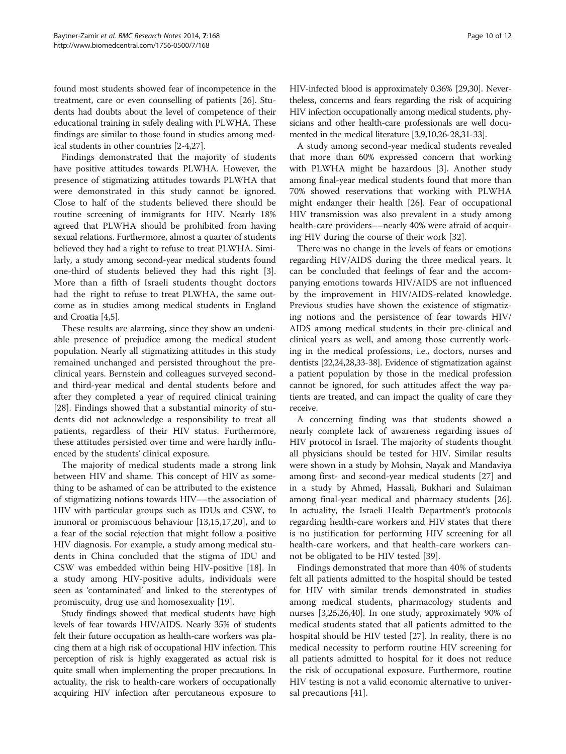found most students showed fear of incompetence in the treatment, care or even counselling of patients [\[26\]](#page-11-0). Students had doubts about the level of competence of their educational training in safely dealing with PLWHA. These findings are similar to those found in studies among medical students in other countries [\[2](#page-11-0)-[4,27](#page-11-0)].

Findings demonstrated that the majority of students have positive attitudes towards PLWHA. However, the presence of stigmatizing attitudes towards PLWHA that were demonstrated in this study cannot be ignored. Close to half of the students believed there should be routine screening of immigrants for HIV. Nearly 18% agreed that PLWHA should be prohibited from having sexual relations. Furthermore, almost a quarter of students believed they had a right to refuse to treat PLWHA. Similarly, a study among second-year medical students found one-third of students believed they had this right [[3](#page-11-0)]. More than a fifth of Israeli students thought doctors had the right to refuse to treat PLWHA, the same outcome as in studies among medical students in England and Croatia [\[4,5\]](#page-11-0).

These results are alarming, since they show an undeniable presence of prejudice among the medical student population. Nearly all stigmatizing attitudes in this study remained unchanged and persisted throughout the preclinical years. Bernstein and colleagues surveyed secondand third-year medical and dental students before and after they completed a year of required clinical training [[28\]](#page-11-0). Findings showed that a substantial minority of students did not acknowledge a responsibility to treat all patients, regardless of their HIV status. Furthermore, these attitudes persisted over time and were hardly influenced by the students' clinical exposure.

The majority of medical students made a strong link between HIV and shame. This concept of HIV as something to be ashamed of can be attributed to the existence of stigmatizing notions towards HIV––the association of HIV with particular groups such as IDUs and CSW, to immoral or promiscuous behaviour [\[13,15,17,20](#page-11-0)], and to a fear of the social rejection that might follow a positive HIV diagnosis. For example, a study among medical students in China concluded that the stigma of IDU and CSW was embedded within being HIV-positive [[18\]](#page-11-0). In a study among HIV-positive adults, individuals were seen as 'contaminated' and linked to the stereotypes of promiscuity, drug use and homosexuality [[19](#page-11-0)].

Study findings showed that medical students have high levels of fear towards HIV/AIDS. Nearly 35% of students felt their future occupation as health-care workers was placing them at a high risk of occupational HIV infection. This perception of risk is highly exaggerated as actual risk is quite small when implementing the proper precautions. In actuality, the risk to health-care workers of occupationally acquiring HIV infection after percutaneous exposure to HIV-infected blood is approximately 0.36% [\[29,30](#page-11-0)]. Nevertheless, concerns and fears regarding the risk of acquiring HIV infection occupationally among medical students, physicians and other health-care professionals are well documented in the medical literature [\[3,9,10,26-28,31-33\]](#page-11-0).

A study among second-year medical students revealed that more than 60% expressed concern that working with PLWHA might be hazardous [\[3](#page-11-0)]. Another study among final-year medical students found that more than 70% showed reservations that working with PLWHA might endanger their health [\[26\]](#page-11-0). Fear of occupational HIV transmission was also prevalent in a study among health-care providers––nearly 40% were afraid of acquiring HIV during the course of their work [[32\]](#page-11-0).

There was no change in the levels of fears or emotions regarding HIV/AIDS during the three medical years. It can be concluded that feelings of fear and the accompanying emotions towards HIV/AIDS are not influenced by the improvement in HIV/AIDS-related knowledge. Previous studies have shown the existence of stigmatizing notions and the persistence of fear towards HIV/ AIDS among medical students in their pre-clinical and clinical years as well, and among those currently working in the medical professions, i.e., doctors, nurses and dentists [[22,24,28,33](#page-11-0)-[38](#page-11-0)]. Evidence of stigmatization against a patient population by those in the medical profession cannot be ignored, for such attitudes affect the way patients are treated, and can impact the quality of care they receive.

A concerning finding was that students showed a nearly complete lack of awareness regarding issues of HIV protocol in Israel. The majority of students thought all physicians should be tested for HIV. Similar results were shown in a study by Mohsin, Nayak and Mandaviya among first- and second-year medical students [[27\]](#page-11-0) and in a study by Ahmed, Hassali, Bukhari and Sulaiman among final-year medical and pharmacy students [\[26](#page-11-0)]. In actuality, the Israeli Health Department's protocols regarding health-care workers and HIV states that there is no justification for performing HIV screening for all health-care workers, and that health-care workers cannot be obligated to be HIV tested [\[39](#page-11-0)].

Findings demonstrated that more than 40% of students felt all patients admitted to the hospital should be tested for HIV with similar trends demonstrated in studies among medical students, pharmacology students and nurses [\[3,25,26,40](#page-11-0)]. In one study, approximately 90% of medical students stated that all patients admitted to the hospital should be HIV tested [\[27\]](#page-11-0). In reality, there is no medical necessity to perform routine HIV screening for all patients admitted to hospital for it does not reduce the risk of occupational exposure. Furthermore, routine HIV testing is not a valid economic alternative to universal precautions [\[41\]](#page-11-0).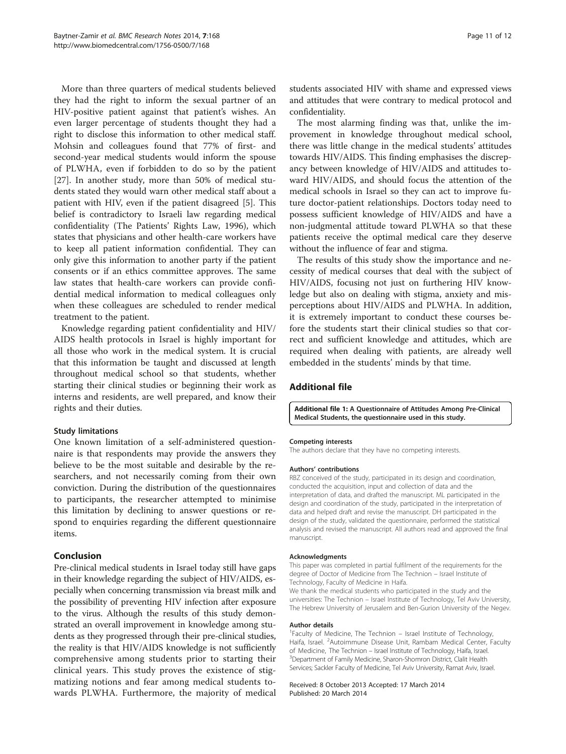<span id="page-10-0"></span>More than three quarters of medical students believed they had the right to inform the sexual partner of an HIV-positive patient against that patient's wishes. An even larger percentage of students thought they had a right to disclose this information to other medical staff. Mohsin and colleagues found that 77% of first- and second-year medical students would inform the spouse of PLWHA, even if forbidden to do so by the patient [[27\]](#page-11-0). In another study, more than 50% of medical students stated they would warn other medical staff about a patient with HIV, even if the patient disagreed [\[5](#page-11-0)]. This belief is contradictory to Israeli law regarding medical confidentiality (The Patients' Rights Law, 1996), which states that physicians and other health-care workers have to keep all patient information confidential. They can only give this information to another party if the patient consents or if an ethics committee approves. The same law states that health-care workers can provide confidential medical information to medical colleagues only when these colleagues are scheduled to render medical treatment to the patient.

Knowledge regarding patient confidentiality and HIV/ AIDS health protocols in Israel is highly important for all those who work in the medical system. It is crucial that this information be taught and discussed at length throughout medical school so that students, whether starting their clinical studies or beginning their work as interns and residents, are well prepared, and know their rights and their duties.

#### Study limitations

One known limitation of a self-administered questionnaire is that respondents may provide the answers they believe to be the most suitable and desirable by the researchers, and not necessarily coming from their own conviction. During the distribution of the questionnaires to participants, the researcher attempted to minimise this limitation by declining to answer questions or respond to enquiries regarding the different questionnaire items.

## Conclusion

Pre-clinical medical students in Israel today still have gaps in their knowledge regarding the subject of HIV/AIDS, especially when concerning transmission via breast milk and the possibility of preventing HIV infection after exposure to the virus. Although the results of this study demonstrated an overall improvement in knowledge among students as they progressed through their pre-clinical studies, the reality is that HIV/AIDS knowledge is not sufficiently comprehensive among students prior to starting their clinical years. This study proves the existence of stigmatizing notions and fear among medical students towards PLWHA. Furthermore, the majority of medical students associated HIV with shame and expressed views and attitudes that were contrary to medical protocol and confidentiality.

The most alarming finding was that, unlike the improvement in knowledge throughout medical school, there was little change in the medical students' attitudes towards HIV/AIDS. This finding emphasises the discrepancy between knowledge of HIV/AIDS and attitudes toward HIV/AIDS, and should focus the attention of the medical schools in Israel so they can act to improve future doctor-patient relationships. Doctors today need to possess sufficient knowledge of HIV/AIDS and have a non-judgmental attitude toward PLWHA so that these patients receive the optimal medical care they deserve without the influence of fear and stigma.

The results of this study show the importance and necessity of medical courses that deal with the subject of HIV/AIDS, focusing not just on furthering HIV knowledge but also on dealing with stigma, anxiety and misperceptions about HIV/AIDS and PLWHA. In addition, it is extremely important to conduct these courses before the students start their clinical studies so that correct and sufficient knowledge and attitudes, which are required when dealing with patients, are already well embedded in the students' minds by that time.

### Additional file

[Additional file 1:](http://www.biomedcentral.com/content/supplementary/1756-0500-7-168-S1.pdf) A Questionnaire of Attitudes Among Pre-Clinical Medical Students, the questionnaire used in this study.

#### Competing interests

The authors declare that they have no competing interests.

#### Authors' contributions

RBZ conceived of the study, participated in its design and coordination, conducted the acquisition, input and collection of data and the interpretation of data, and drafted the manuscript. ML participated in the design and coordination of the study, participated in the interpretation of data and helped draft and revise the manuscript. DH participated in the design of the study, validated the questionnaire, performed the statistical analysis and revised the manuscript. All authors read and approved the final manuscript.

#### Acknowledgments

This paper was completed in partial fulfilment of the requirements for the degree of Doctor of Medicine from The Technion – Israel Institute of Technology, Faculty of Medicine in Haifa.

We thank the medical students who participated in the study and the universities: The Technion – Israel Institute of Technology, Tel Aviv University, The Hebrew University of Jerusalem and Ben-Gurion University of the Negev.

#### Author details

1 Faculty of Medicine, The Technion – Israel Institute of Technology, Haifa, Israel. <sup>2</sup> Autoimmune Disease Unit, Rambam Medical Center, Faculty of Medicine, The Technion – Israel Institute of Technology, Haifa, Israel. Department of Family Medicine, Sharon-Shomron District, Clalit Health Services; Sackler Faculty of Medicine, Tel Aviv University, Ramat Aviv, Israel.

#### Received: 8 October 2013 Accepted: 17 March 2014 Published: 20 March 2014